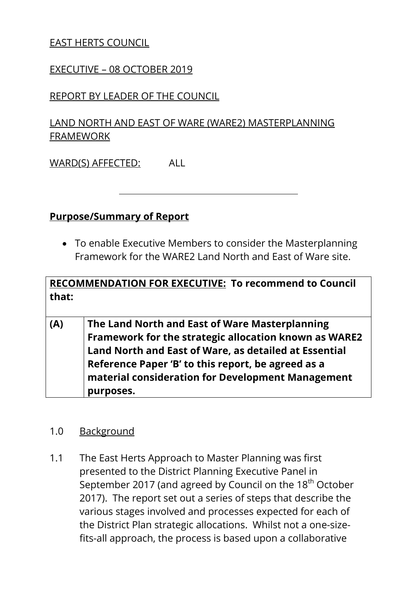# EAST HERTS COUNCIL

#### EXECUTIVE – 08 OCTOBER 2019

## REPORT BY LEADER OF THE COUNCIL

# LAND NORTH AND EAST OF WARE (WARE2) MASTERPLANNING FRAMEWORK

WARD(S) AFFECTED: ALL

### **Purpose/Summary of Report**

 To enable Executive Members to consider the Masterplanning Framework for the WARE2 Land North and East of Ware site.

| that: | RECOMMENDATION FOR EXECUTIVE: To recommend to Council                                                                                                                                                                                                                                    |
|-------|------------------------------------------------------------------------------------------------------------------------------------------------------------------------------------------------------------------------------------------------------------------------------------------|
| (A)   | The Land North and East of Ware Masterplanning<br>Framework for the strategic allocation known as WARE2<br>Land North and East of Ware, as detailed at Essential<br>Reference Paper 'B' to this report, be agreed as a<br>material consideration for Development Management<br>purposes. |

#### 1.0 Background

1.1 The East Herts Approach to Master Planning was first presented to the District Planning Executive Panel in September 2017 (and agreed by Council on the 18<sup>th</sup> October 2017). The report set out a series of steps that describe the various stages involved and processes expected for each of the District Plan strategic allocations. Whilst not a one-sizefits-all approach, the process is based upon a collaborative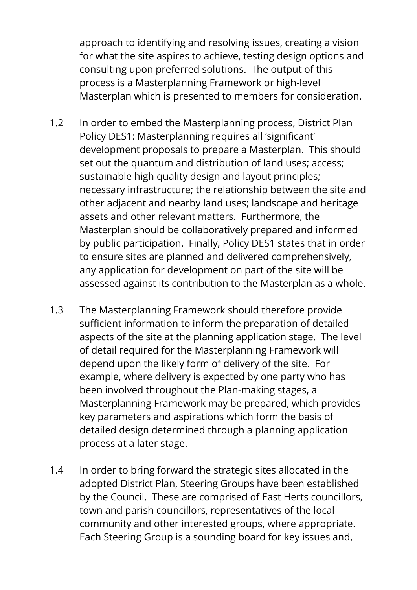approach to identifying and resolving issues, creating a vision for what the site aspires to achieve, testing design options and consulting upon preferred solutions. The output of this process is a Masterplanning Framework or high-level Masterplan which is presented to members for consideration.

- 1.2 In order to embed the Masterplanning process, District Plan Policy DES1: Masterplanning requires all 'significant' development proposals to prepare a Masterplan. This should set out the quantum and distribution of land uses; access; sustainable high quality design and layout principles; necessary infrastructure; the relationship between the site and other adjacent and nearby land uses; landscape and heritage assets and other relevant matters. Furthermore, the Masterplan should be collaboratively prepared and informed by public participation. Finally, Policy DES1 states that in order to ensure sites are planned and delivered comprehensively, any application for development on part of the site will be assessed against its contribution to the Masterplan as a whole.
- 1.3 The Masterplanning Framework should therefore provide sufficient information to inform the preparation of detailed aspects of the site at the planning application stage. The level of detail required for the Masterplanning Framework will depend upon the likely form of delivery of the site. For example, where delivery is expected by one party who has been involved throughout the Plan-making stages, a Masterplanning Framework may be prepared, which provides key parameters and aspirations which form the basis of detailed design determined through a planning application process at a later stage.
- 1.4 In order to bring forward the strategic sites allocated in the adopted District Plan, Steering Groups have been established by the Council. These are comprised of East Herts councillors, town and parish councillors, representatives of the local community and other interested groups, where appropriate. Each Steering Group is a sounding board for key issues and,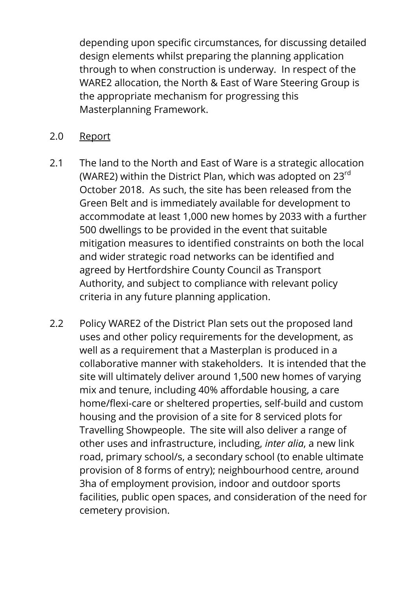depending upon specific circumstances, for discussing detailed design elements whilst preparing the planning application through to when construction is underway. In respect of the WARE2 allocation, the North & East of Ware Steering Group is the appropriate mechanism for progressing this Masterplanning Framework.

- 2.0 Report
- 2.1 The land to the North and East of Ware is a strategic allocation (WARE2) within the District Plan, which was adopted on 23rd October 2018. As such, the site has been released from the Green Belt and is immediately available for development to accommodate at least 1,000 new homes by 2033 with a further 500 dwellings to be provided in the event that suitable mitigation measures to identified constraints on both the local and wider strategic road networks can be identified and agreed by Hertfordshire County Council as Transport Authority, and subject to compliance with relevant policy criteria in any future planning application.
- 2.2 Policy WARE2 of the District Plan sets out the proposed land uses and other policy requirements for the development, as well as a requirement that a Masterplan is produced in a collaborative manner with stakeholders. It is intended that the site will ultimately deliver around 1,500 new homes of varying mix and tenure, including 40% affordable housing, a care home/flexi-care or sheltered properties, self-build and custom housing and the provision of a site for 8 serviced plots for Travelling Showpeople. The site will also deliver a range of other uses and infrastructure, including, *inter alia*, a new link road, primary school/s, a secondary school (to enable ultimate provision of 8 forms of entry); neighbourhood centre, around 3ha of employment provision, indoor and outdoor sports facilities, public open spaces, and consideration of the need for cemetery provision.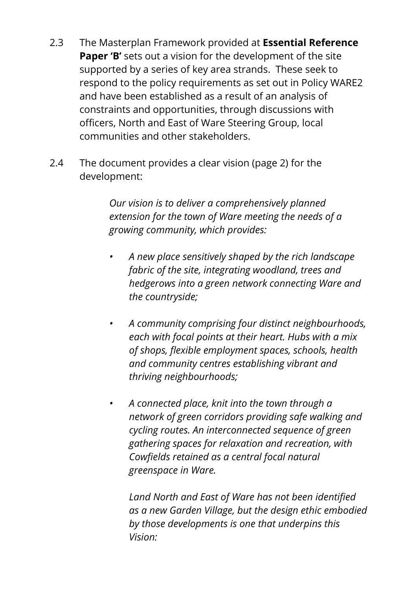- 2.3 The Masterplan Framework provided at **Essential Reference Paper 'B'** sets out a vision for the development of the site supported by a series of key area strands. These seek to respond to the policy requirements as set out in Policy WARE2 and have been established as a result of an analysis of constraints and opportunities, through discussions with officers, North and East of Ware Steering Group, local communities and other stakeholders.
- 2.4 The document provides a clear vision (page 2) for the development:

*Our vision is to deliver a comprehensively planned extension for the town of Ware meeting the needs of a growing community, which provides:*

- *A new place sensitively shaped by the rich landscape fabric of the site, integrating woodland, trees and hedgerows into a green network connecting Ware and the countryside;*
- *A community comprising four distinct neighbourhoods, each with focal points at their heart. Hubs with a mix of shops, flexible employment spaces, schools, health and community centres establishing vibrant and thriving neighbourhoods;*
- *A connected place, knit into the town through a network of green corridors providing safe walking and cycling routes. An interconnected sequence of green gathering spaces for relaxation and recreation, with Cowfields retained as a central focal natural greenspace in Ware.*

*Land North and East of Ware has not been identified as a new Garden Village, but the design ethic embodied by those developments is one that underpins this Vision:*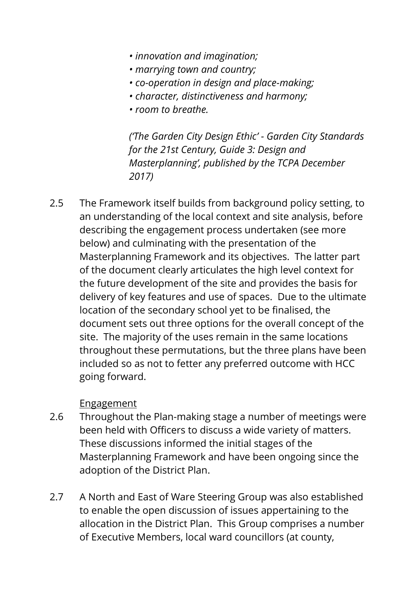- *innovation and imagination;*
- *marrying town and country;*
- *co-operation in design and place-making;*
- *character, distinctiveness and harmony;*
- *room to breathe.*

*('The Garden City Design Ethic' - Garden City Standards for the 21st Century, Guide 3: Design and Masterplanning', published by the TCPA December 2017)*

2.5 The Framework itself builds from background policy setting, to an understanding of the local context and site analysis, before describing the engagement process undertaken (see more below) and culminating with the presentation of the Masterplanning Framework and its objectives. The latter part of the document clearly articulates the high level context for the future development of the site and provides the basis for delivery of key features and use of spaces. Due to the ultimate location of the secondary school yet to be finalised, the document sets out three options for the overall concept of the site. The majority of the uses remain in the same locations throughout these permutations, but the three plans have been included so as not to fetter any preferred outcome with HCC going forward.

# **Engagement**

- 2.6 Throughout the Plan-making stage a number of meetings were been held with Officers to discuss a wide variety of matters. These discussions informed the initial stages of the Masterplanning Framework and have been ongoing since the adoption of the District Plan.
- 2.7 A North and East of Ware Steering Group was also established to enable the open discussion of issues appertaining to the allocation in the District Plan. This Group comprises a number of Executive Members, local ward councillors (at county,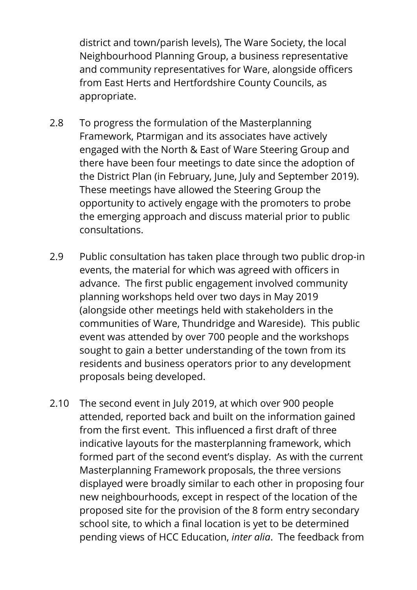district and town/parish levels), The Ware Society, the local Neighbourhood Planning Group, a business representative and community representatives for Ware, alongside officers from East Herts and Hertfordshire County Councils, as appropriate.

- 2.8 To progress the formulation of the Masterplanning Framework, Ptarmigan and its associates have actively engaged with the North & East of Ware Steering Group and there have been four meetings to date since the adoption of the District Plan (in February, June, July and September 2019). These meetings have allowed the Steering Group the opportunity to actively engage with the promoters to probe the emerging approach and discuss material prior to public consultations.
- 2.9 Public consultation has taken place through two public drop-in events, the material for which was agreed with officers in advance. The first public engagement involved community planning workshops held over two days in May 2019 (alongside other meetings held with stakeholders in the communities of Ware, Thundridge and Wareside). This public event was attended by over 700 people and the workshops sought to gain a better understanding of the town from its residents and business operators prior to any development proposals being developed.
- 2.10 The second event in July 2019, at which over 900 people attended, reported back and built on the information gained from the first event. This influenced a first draft of three indicative layouts for the masterplanning framework, which formed part of the second event's display. As with the current Masterplanning Framework proposals, the three versions displayed were broadly similar to each other in proposing four new neighbourhoods, except in respect of the location of the proposed site for the provision of the 8 form entry secondary school site, to which a final location is yet to be determined pending views of HCC Education, *inter alia*. The feedback from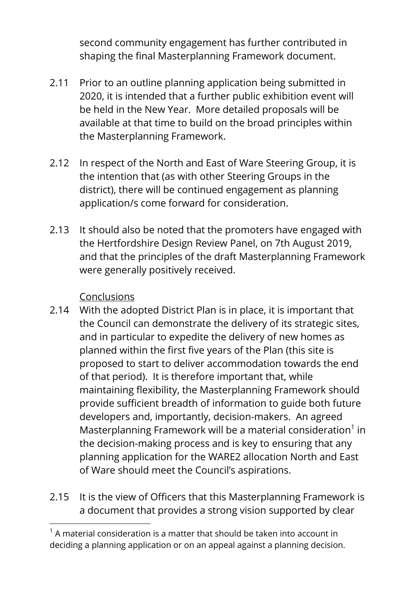second community engagement has further contributed in shaping the final Masterplanning Framework document.

- 2.11 Prior to an outline planning application being submitted in 2020, it is intended that a further public exhibition event will be held in the New Year. More detailed proposals will be available at that time to build on the broad principles within the Masterplanning Framework.
- 2.12 In respect of the North and East of Ware Steering Group, it is the intention that (as with other Steering Groups in the district), there will be continued engagement as planning application/s come forward for consideration.
- 2.13 It should also be noted that the promoters have engaged with the Hertfordshire Design Review Panel, on 7th August 2019, and that the principles of the draft Masterplanning Framework were generally positively received.

# Conclusions

 $\overline{a}$ 

- 2.14 With the adopted District Plan is in place, it is important that the Council can demonstrate the delivery of its strategic sites, and in particular to expedite the delivery of new homes as planned within the first five years of the Plan (this site is proposed to start to deliver accommodation towards the end of that period). It is therefore important that, while maintaining flexibility, the Masterplanning Framework should provide sufficient breadth of information to guide both future developers and, importantly, decision-makers. An agreed Masterplanning Framework will be a material consideration $1$  in the decision-making process and is key to ensuring that any planning application for the WARE2 allocation North and East of Ware should meet the Council's aspirations.
- 2.15 It is the view of Officers that this Masterplanning Framework is a document that provides a strong vision supported by clear

 $1$  A material consideration is a matter that should be taken into account in deciding a planning application or on an appeal against a planning decision.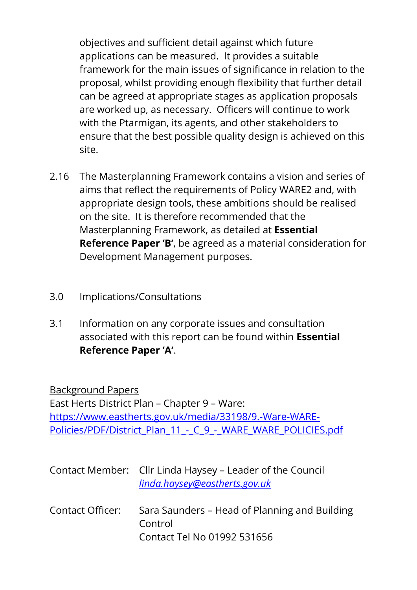objectives and sufficient detail against which future applications can be measured. It provides a suitable framework for the main issues of significance in relation to the proposal, whilst providing enough flexibility that further detail can be agreed at appropriate stages as application proposals are worked up, as necessary. Officers will continue to work with the Ptarmigan, its agents, and other stakeholders to ensure that the best possible quality design is achieved on this site.

2.16 The Masterplanning Framework contains a vision and series of aims that reflect the requirements of Policy WARE2 and, with appropriate design tools, these ambitions should be realised on the site. It is therefore recommended that the Masterplanning Framework, as detailed at **Essential Reference Paper 'B'**, be agreed as a material consideration for Development Management purposes.

# 3.0 Implications/Consultations

3.1 Information on any corporate issues and consultation associated with this report can be found within **Essential Reference Paper 'A'**.

Background Papers East Herts District Plan – Chapter 9 – Ware: [https://www.eastherts.gov.uk/media/33198/9.-Ware-WARE-](https://www.eastherts.gov.uk/media/33198/9.-Ware-WARE-Policies/PDF/District_Plan_11_-_C_9_-_WARE_WARE_POLICIES.pdf)[Policies/PDF/District\\_Plan\\_11\\_-\\_C\\_9\\_-\\_WARE\\_WARE\\_POLICIES.pdf](https://www.eastherts.gov.uk/media/33198/9.-Ware-WARE-Policies/PDF/District_Plan_11_-_C_9_-_WARE_WARE_POLICIES.pdf)

|                  | Contact Member: Cllr Linda Haysey – Leader of the Council<br>linda.haysey@eastherts.gov.uk |
|------------------|--------------------------------------------------------------------------------------------|
| Contact Officer: | Sara Saunders – Head of Planning and Building<br>Control                                   |
|                  | Contact Tel No 01992 531656                                                                |